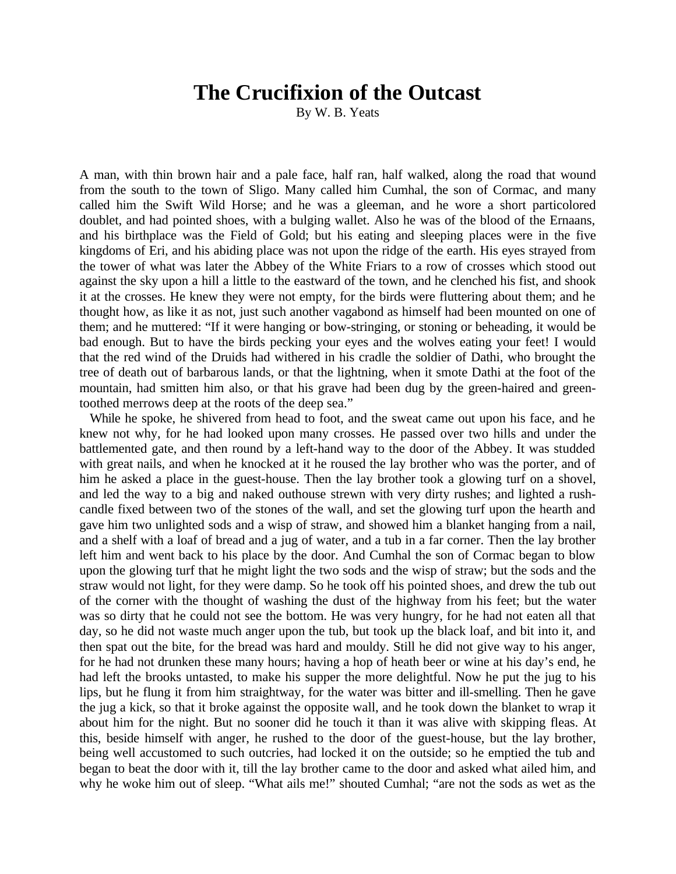## **The Crucifixion of the Outcast**

By W. B. Yeats

A man, with thin brown hair and a pale face, half ran, half walked, along the road that wound from the south to the town of Sligo. Many called him Cumhal, the son of Cormac, and many called him the Swift Wild Horse; and he was a gleeman, and he wore a short particolored doublet, and had pointed shoes, with a bulging wallet. Also he was of the blood of the Ernaans, and his birthplace was the Field of Gold; but his eating and sleeping places were in the five kingdoms of Eri, and his abiding place was not upon the ridge of the earth. His eyes strayed from the tower of what was later the Abbey of the White Friars to a row of crosses which stood out against the sky upon a hill a little to the eastward of the town, and he clenched his fist, and shook it at the crosses. He knew they were not empty, for the birds were fluttering about them; and he thought how, as like it as not, just such another vagabond as himself had been mounted on one of them; and he muttered: "If it were hanging or bow-stringing, or stoning or beheading, it would be bad enough. But to have the birds pecking your eyes and the wolves eating your feet! I would that the red wind of the Druids had withered in his cradle the soldier of Dathi, who brought the tree of death out of barbarous lands, or that the lightning, when it smote Dathi at the foot of the mountain, had smitten him also, or that his grave had been dug by the green-haired and greentoothed merrows deep at the roots of the deep sea."

While he spoke, he shivered from head to foot, and the sweat came out upon his face, and he knew not why, for he had looked upon many crosses. He passed over two hills and under the battlemented gate, and then round by a left-hand way to the door of the Abbey. It was studded with great nails, and when he knocked at it he roused the lay brother who was the porter, and of him he asked a place in the guest-house. Then the lay brother took a glowing turf on a shovel, and led the way to a big and naked outhouse strewn with very dirty rushes; and lighted a rushcandle fixed between two of the stones of the wall, and set the glowing turf upon the hearth and gave him two unlighted sods and a wisp of straw, and showed him a blanket hanging from a nail, and a shelf with a loaf of bread and a jug of water, and a tub in a far corner. Then the lay brother left him and went back to his place by the door. And Cumhal the son of Cormac began to blow upon the glowing turf that he might light the two sods and the wisp of straw; but the sods and the straw would not light, for they were damp. So he took off his pointed shoes, and drew the tub out of the corner with the thought of washing the dust of the highway from his feet; but the water was so dirty that he could not see the bottom. He was very hungry, for he had not eaten all that day, so he did not waste much anger upon the tub, but took up the black loaf, and bit into it, and then spat out the bite, for the bread was hard and mouldy. Still he did not give way to his anger, for he had not drunken these many hours; having a hop of heath beer or wine at his day's end, he had left the brooks untasted, to make his supper the more delightful. Now he put the jug to his lips, but he flung it from him straightway, for the water was bitter and ill-smelling. Then he gave the jug a kick, so that it broke against the opposite wall, and he took down the blanket to wrap it about him for the night. But no sooner did he touch it than it was alive with skipping fleas. At this, beside himself with anger, he rushed to the door of the guest-house, but the lay brother, being well accustomed to such outcries, had locked it on the outside; so he emptied the tub and began to beat the door with it, till the lay brother came to the door and asked what ailed him, and why he woke him out of sleep. "What ails me!" shouted Cumhal; "are not the sods as wet as the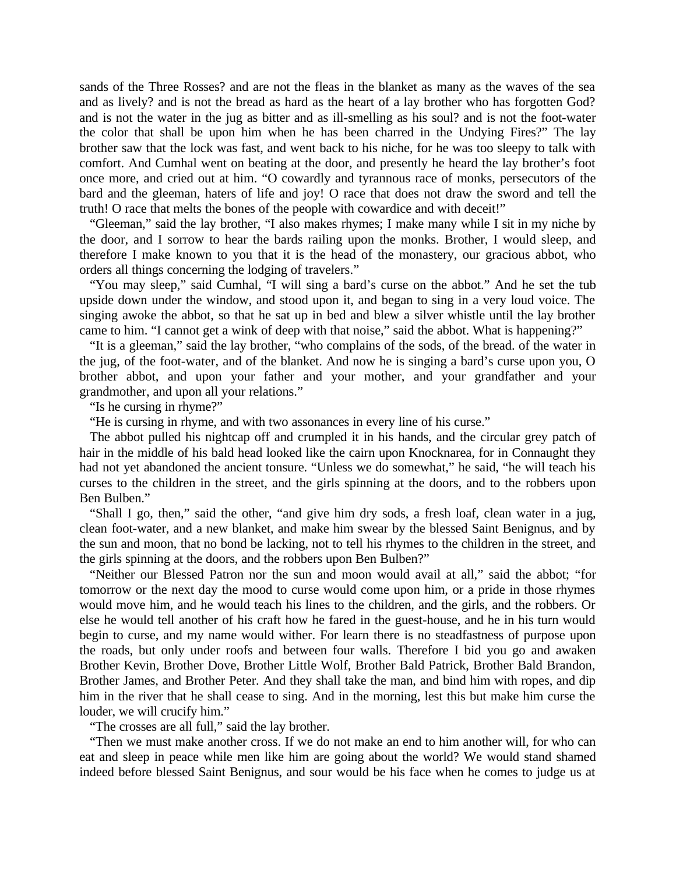sands of the Three Rosses? and are not the fleas in the blanket as many as the waves of the sea and as lively? and is not the bread as hard as the heart of a lay brother who has forgotten God? and is not the water in the jug as bitter and as ill-smelling as his soul? and is not the foot-water the color that shall be upon him when he has been charred in the Undying Fires?" The lay brother saw that the lock was fast, and went back to his niche, for he was too sleepy to talk with comfort. And Cumhal went on beating at the door, and presently he heard the lay brother's foot once more, and cried out at him. "O cowardly and tyrannous race of monks, persecutors of the bard and the gleeman, haters of life and joy! O race that does not draw the sword and tell the truth! O race that melts the bones of the people with cowardice and with deceit!"

"Gleeman," said the lay brother, "I also makes rhymes; I make many while I sit in my niche by the door, and I sorrow to hear the bards railing upon the monks. Brother, I would sleep, and therefore I make known to you that it is the head of the monastery, our gracious abbot, who orders all things concerning the lodging of travelers."

"You may sleep," said Cumhal, "I will sing a bard's curse on the abbot." And he set the tub upside down under the window, and stood upon it, and began to sing in a very loud voice. The singing awoke the abbot, so that he sat up in bed and blew a silver whistle until the lay brother came to him. "I cannot get a wink of deep with that noise," said the abbot. What is happening?"

"It is a gleeman," said the lay brother, "who complains of the sods, of the bread. of the water in the jug, of the foot-water, and of the blanket. And now he is singing a bard's curse upon you, O brother abbot, and upon your father and your mother, and your grandfather and your grandmother, and upon all your relations."

"Is he cursing in rhyme?"

"He is cursing in rhyme, and with two assonances in every line of his curse."

The abbot pulled his nightcap off and crumpled it in his hands, and the circular grey patch of hair in the middle of his bald head looked like the cairn upon Knocknarea, for in Connaught they had not yet abandoned the ancient tonsure. "Unless we do somewhat," he said, "he will teach his curses to the children in the street, and the girls spinning at the doors, and to the robbers upon Ben Bulben."

"Shall I go, then," said the other, "and give him dry sods, a fresh loaf, clean water in a jug, clean foot-water, and a new blanket, and make him swear by the blessed Saint Benignus, and by the sun and moon, that no bond be lacking, not to tell his rhymes to the children in the street, and the girls spinning at the doors, and the robbers upon Ben Bulben?"

"Neither our Blessed Patron nor the sun and moon would avail at all," said the abbot; "for tomorrow or the next day the mood to curse would come upon him, or a pride in those rhymes would move him, and he would teach his lines to the children, and the girls, and the robbers. Or else he would tell another of his craft how he fared in the guest-house, and he in his turn would begin to curse, and my name would wither. For learn there is no steadfastness of purpose upon the roads, but only under roofs and between four walls. Therefore I bid you go and awaken Brother Kevin, Brother Dove, Brother Little Wolf, Brother Bald Patrick, Brother Bald Brandon, Brother James, and Brother Peter. And they shall take the man, and bind him with ropes, and dip him in the river that he shall cease to sing. And in the morning, lest this but make him curse the louder, we will crucify him."

"The crosses are all full," said the lay brother.

"Then we must make another cross. If we do not make an end to him another will, for who can eat and sleep in peace while men like him are going about the world? We would stand shamed indeed before blessed Saint Benignus, and sour would be his face when he comes to judge us at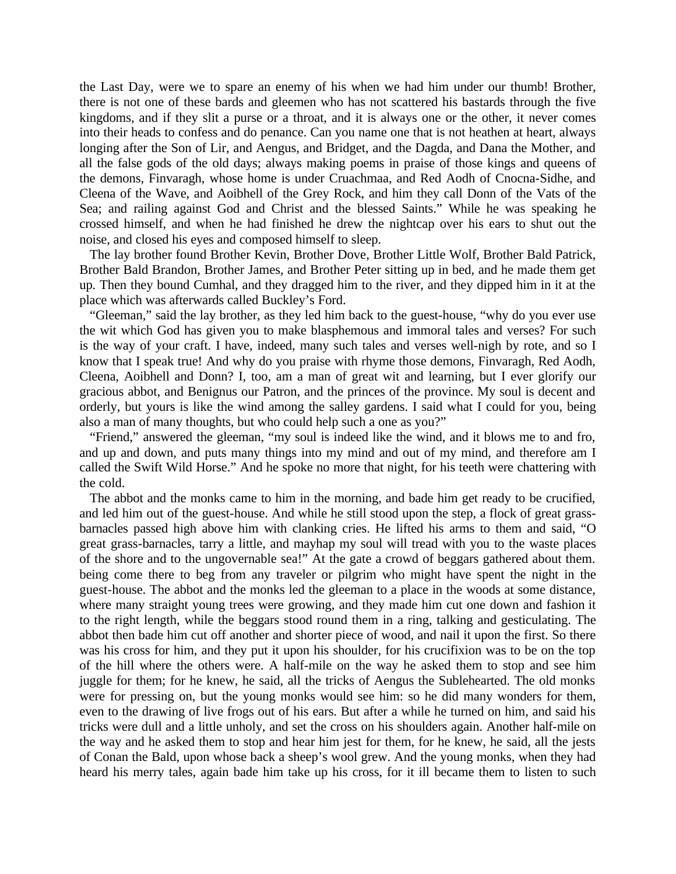the Last Day, were we to spare an enemy of his when we had him under our thumb! Brother, there is not one of these bards and gleemen who has not scattered his bastards through the five kingdoms, and if they slit a purse or a throat, and it is always one or the other, it never comes into their heads to confess and do penance. Can you name one that is not heathen at heart, always longing after the Son of Lir, and Aengus, and Bridget, and the Dagda, and Dana the Mother, and all the false gods of the old days; always making poems in praise of those kings and queens of the demons, Finvaragh, whose home is under Cruachmaa, and Red Aodh of Cnocna-Sidhe, and Cleena of the Wave, and Aoibhell of the Grey Rock, and him they call Donn of the Vats of the Sea; and railing against God and Christ and the blessed Saints." While he was speaking he crossed himself, and when he had finished he drew the nightcap over his ears to shut out the noise, and closed his eyes and composed himself to sleep.

The lay brother found Brother Kevin, Brother Dove, Brother Little Wolf, Brother Bald Patrick, Brother Bald Brandon, Brother James, and Brother Peter sitting up in bed, and he made them get up. Then they bound Cumhal, and they dragged him to the river, and they dipped him in it at the place which was afterwards called Buckley's Ford.

"Gleeman," said the lay brother, as they led him back to the guest-house, "why do you ever use the wit which God has given you to make blasphemous and immoral tales and verses? For such is the way of your craft. I have, indeed, many such tales and verses well-nigh by rote, and so I know that I speak true! And why do you praise with rhyme those demons, Finvaragh, Red Aodh, Cleena, Aoibhell and Donn? I, too, am a man of great wit and learning, but I ever glorify our gracious abbot, and Benignus our Patron, and the princes of the province. My soul is decent and orderly, but yours is like the wind among the salley gardens. I said what I could for you, being also a man of many thoughts, but who could help such a one as you?"

"Friend," answered the gleeman, "my soul is indeed like the wind, and it blows me to and fro, and up and down, and puts many things into my mind and out of my mind, and therefore am I called the Swift Wild Horse." And he spoke no more that night, for his teeth were chattering with the cold.

The abbot and the monks came to him in the morning, and bade him get ready to be crucified, and led him out of the guest-house. And while he still stood upon the step, a flock of great grassbarnacles passed high above him with clanking cries. He lifted his arms to them and said, "O great grass-barnacles, tarry a little, and mayhap my soul will tread with you to the waste places of the shore and to the ungovernable sea!" At the gate a crowd of beggars gathered about them. being come there to beg from any traveler or pilgrim who might have spent the night in the guest-house. The abbot and the monks led the gleeman to a place in the woods at some distance, where many straight young trees were growing, and they made him cut one down and fashion it to the right length, while the beggars stood round them in a ring, talking and gesticulating. The abbot then bade him cut off another and shorter piece of wood, and nail it upon the first. So there was his cross for him, and they put it upon his shoulder, for his crucifixion was to be on the top of the hill where the others were. A half-mile on the way he asked them to stop and see him juggle for them; for he knew, he said, all the tricks of Aengus the Sublehearted. The old monks were for pressing on, but the young monks would see him: so he did many wonders for them, even to the drawing of live frogs out of his ears. But after a while he turned on him, and said his tricks were dull and a little unholy, and set the cross on his shoulders again. Another half-mile on the way and he asked them to stop and hear him jest for them, for he knew, he said, all the jests of Conan the Bald, upon whose back a sheep's wool grew. And the young monks, when they had heard his merry tales, again bade him take up his cross, for it ill became them to listen to such